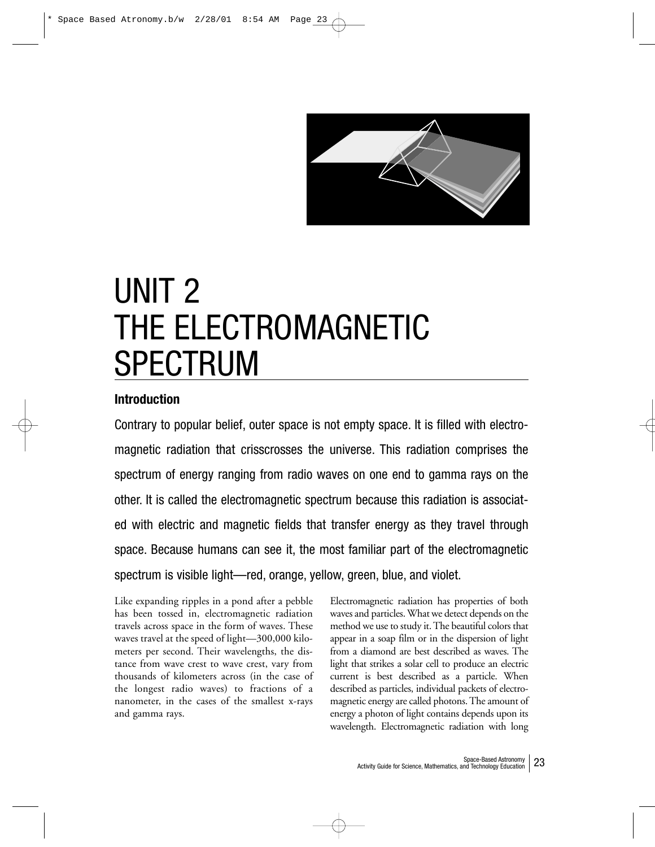

# UNIT 2 THE ELECTROMAGNETIC SPECTRUM

## **Introduction**

Contrary to popular belief, outer space is not empty space. It is filled with electromagnetic radiation that crisscrosses the universe. This radiation comprises the spectrum of energy ranging from radio waves on one end to gamma rays on the other. It is called the electromagnetic spectrum because this radiation is associated with electric and magnetic fields that transfer energy as they travel through space. Because humans can see it, the most familiar part of the electromagnetic spectrum is visible light—red, orange, yellow, green, blue, and violet.

Like expanding ripples in a pond after a pebble has been tossed in, electromagnetic radiation travels across space in the form of waves. These waves travel at the speed of light—300,000 kilometers per second. Their wavelengths, the distance from wave crest to wave crest, vary from thousands of kilometers across (in the case of the longest radio waves) to fractions of a nanometer, in the cases of the smallest x-rays and gamma rays.

Electromagnetic radiation has properties of both waves and particles. What we detect depends on the method we use to study it. The beautiful colors that appear in a soap film or in the dispersion of light from a diamond are best described as waves. The light that strikes a solar cell to produce an electric current is best described as a particle. When described as particles, individual packets of electromagnetic energy are called photons. The amount of energy a photon of light contains depends upon its wavelength. Electromagnetic radiation with long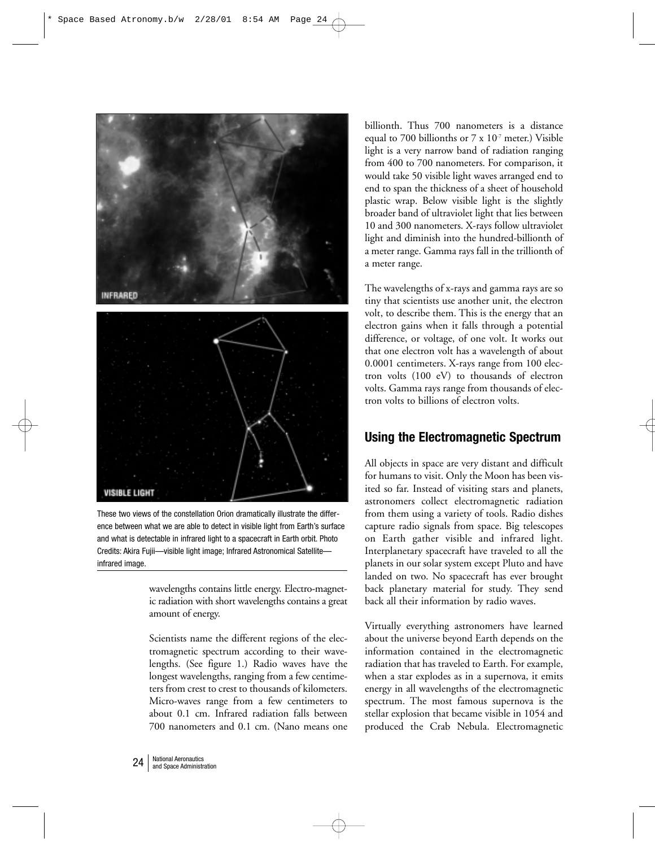

These two views of the constellation Orion dramatically illustrate the difference between what we are able to detect in visible light from Earth's surface and what is detectable in infrared light to a spacecraft in Earth orbit. Photo Credits: Akira Fujii—visible light image; Infrared Astronomical Satellite infrared image.

wavelengths contains little energy. Electro-magnetic radiation with short wavelengths contains a great amount of energy.

Scientists name the different regions of the electromagnetic spectrum according to their wavelengths. (See figure 1.) Radio waves have the longest wavelengths, ranging from a few centimeters from crest to crest to thousands of kilometers. Micro-waves range from a few centimeters to about 0.1 cm. Infrared radiation falls between 700 nanometers and 0.1 cm. (Nano means one billionth. Thus 700 nanometers is a distance equal to 700 billionths or  $7 \times 10^{-7}$  meter.) Visible light is a very narrow band of radiation ranging from 400 to 700 nanometers. For comparison, it would take 50 visible light waves arranged end to end to span the thickness of a sheet of household plastic wrap. Below visible light is the slightly broader band of ultraviolet light that lies between 10 and 300 nanometers. X-rays follow ultraviolet light and diminish into the hundred-billionth of a meter range. Gamma rays fall in the trillionth of a meter range.

The wavelengths of x-rays and gamma rays are so tiny that scientists use another unit, the electron volt, to describe them. This is the energy that an electron gains when it falls through a potential difference, or voltage, of one volt. It works out that one electron volt has a wavelength of about 0.0001 centimeters. X-rays range from 100 electron volts (100 eV) to thousands of electron volts. Gamma rays range from thousands of electron volts to billions of electron volts.

## **Using the Electromagnetic Spectrum**

All objects in space are very distant and difficult for humans to visit. Only the Moon has been visited so far. Instead of visiting stars and planets, astronomers collect electromagnetic radiation from them using a variety of tools. Radio dishes capture radio signals from space. Big telescopes on Earth gather visible and infrared light. Interplanetary spacecraft have traveled to all the planets in our solar system except Pluto and have landed on two. No spacecraft has ever brought back planetary material for study. They send back all their information by radio waves.

Virtually everything astronomers have learned about the universe beyond Earth depends on the information contained in the electromagnetic radiation that has traveled to Earth. For example, when a star explodes as in a supernova, it emits energy in all wavelengths of the electromagnetic spectrum. The most famous supernova is the stellar explosion that became visible in 1054 and produced the Crab Nebula. Electromagnetic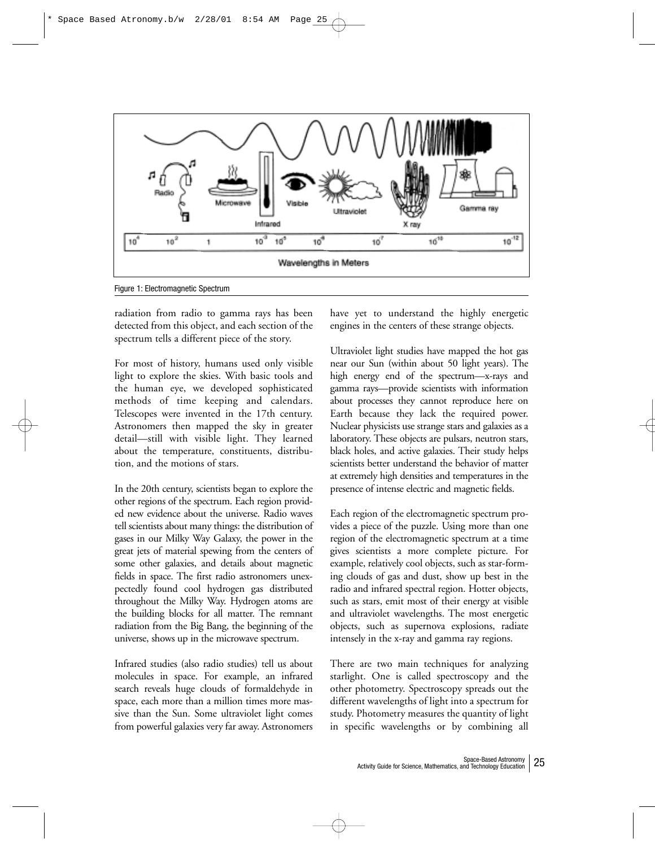

Figure 1: Electromagnetic Spectrum

radiation from radio to gamma rays has been detected from this object, and each section of the spectrum tells a different piece of the story.

For most of history, humans used only visible light to explore the skies. With basic tools and the human eye, we developed sophisticated methods of time keeping and calendars. Telescopes were invented in the 17th century. Astronomers then mapped the sky in greater detail––still with visible light. They learned about the temperature, constituents, distribution, and the motions of stars.

In the 20th century, scientists began to explore the other regions of the spectrum. Each region provided new evidence about the universe. Radio waves tell scientists about many things: the distribution of gases in our Milky Way Galaxy, the power in the great jets of material spewing from the centers of some other galaxies, and details about magnetic fields in space. The first radio astronomers unexpectedly found cool hydrogen gas distributed throughout the Milky Way. Hydrogen atoms are the building blocks for all matter. The remnant radiation from the Big Bang, the beginning of the universe, shows up in the microwave spectrum.

Infrared studies (also radio studies) tell us about molecules in space. For example, an infrared search reveals huge clouds of formaldehyde in space, each more than a million times more massive than the Sun. Some ultraviolet light comes from powerful galaxies very far away. Astronomers have yet to understand the highly energetic engines in the centers of these strange objects.

Ultraviolet light studies have mapped the hot gas near our Sun (within about 50 light years). The high energy end of the spectrum—x-rays and gamma rays—provide scientists with information about processes they cannot reproduce here on Earth because they lack the required power. Nuclear physicists use strange stars and galaxies as a laboratory. These objects are pulsars, neutron stars, black holes, and active galaxies. Their study helps scientists better understand the behavior of matter at extremely high densities and temperatures in the presence of intense electric and magnetic fields.

Each region of the electromagnetic spectrum provides a piece of the puzzle. Using more than one region of the electromagnetic spectrum at a time gives scientists a more complete picture. For example, relatively cool objects, such as star-forming clouds of gas and dust, show up best in the radio and infrared spectral region. Hotter objects, such as stars, emit most of their energy at visible and ultraviolet wavelengths. The most energetic objects, such as supernova explosions, radiate intensely in the x-ray and gamma ray regions.

There are two main techniques for analyzing starlight. One is called spectroscopy and the other photometry. Spectroscopy spreads out the different wavelengths of light into a spectrum for study. Photometry measures the quantity of light in specific wavelengths or by combining all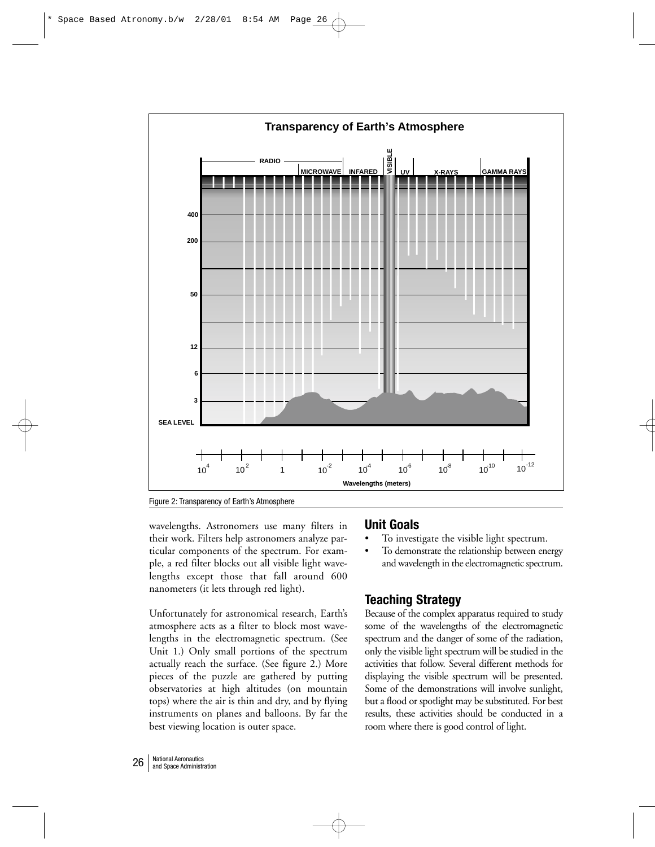

Figure 2: Transparency of Earth's Atmosphere

wavelengths. Astronomers use many filters in their work. Filters help astronomers analyze particular components of the spectrum. For example, a red filter blocks out all visible light wavelengths except those that fall around 600 nanometers (it lets through red light).

Unfortunately for astronomical research, Earth's atmosphere acts as a filter to block most wavelengths in the electromagnetic spectrum. (See Unit 1.) Only small portions of the spectrum actually reach the surface. (See figure 2.) More pieces of the puzzle are gathered by putting observatories at high altitudes (on mountain tops) where the air is thin and dry, and by flying instruments on planes and balloons. By far the best viewing location is outer space.

## **Unit Goals**

- To investigate the visible light spectrum.
- To demonstrate the relationship between energy and wavelength in the electromagnetic spectrum.

## **Teaching Strategy**

Because of the complex apparatus required to study some of the wavelengths of the electromagnetic spectrum and the danger of some of the radiation, only the visible light spectrum will be studied in the activities that follow. Several different methods for displaying the visible spectrum will be presented. Some of the demonstrations will involve sunlight, but a flood or spotlight may be substituted. For best results, these activities should be conducted in a room where there is good control of light.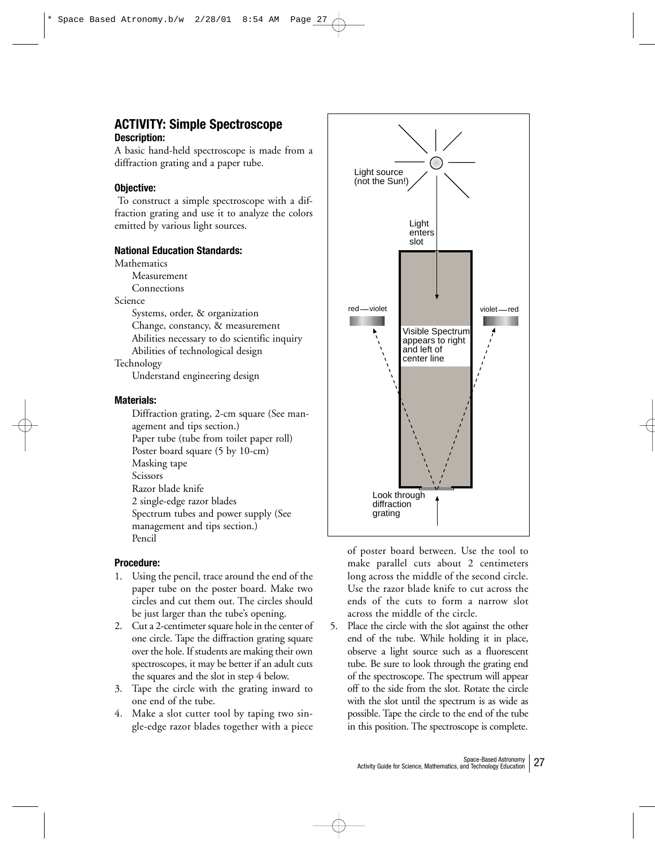## **ACTIVITY: Simple Spectroscope Description:**

A basic hand-held spectroscope is made from a diffraction grating and a paper tube.

## **Objective:**

To construct a simple spectroscope with a diffraction grating and use it to analyze the colors emitted by various light sources.

## **National Education Standards:**

**Mathematics** 

Measurement

Connections

Science

Systems, order, & organization Change, constancy, & measurement Abilities necessary to do scientific inquiry Abilities of technological design

Technology

Understand engineering design

## **Materials:**

Diffraction grating, 2-cm square (See management and tips section.) Paper tube (tube from toilet paper roll) Poster board square (5 by 10-cm) Masking tape Scissors Razor blade knife 2 single-edge razor blades Spectrum tubes and power supply (See management and tips section.) Pencil

## **Procedure:**

- 1. Using the pencil, trace around the end of the paper tube on the poster board. Make two circles and cut them out. The circles should be just larger than the tube's opening.
- 2. Cut a 2-centimeter square hole in the center of one circle. Tape the diffraction grating square over the hole. If students are making their own spectroscopes, it may be better if an adult cuts the squares and the slot in step 4 below.
- 3. Tape the circle with the grating inward to one end of the tube.
- 4. Make a slot cutter tool by taping two single-edge razor blades together with a piece



of poster board between. Use the tool to make parallel cuts about 2 centimeters long across the middle of the second circle. Use the razor blade knife to cut across the ends of the cuts to form a narrow slot across the middle of the circle.

5. Place the circle with the slot against the other end of the tube. While holding it in place, observe a light source such as a fluorescent tube. Be sure to look through the grating end of the spectroscope. The spectrum will appear off to the side from the slot. Rotate the circle with the slot until the spectrum is as wide as possible. Tape the circle to the end of the tube in this position. The spectroscope is complete.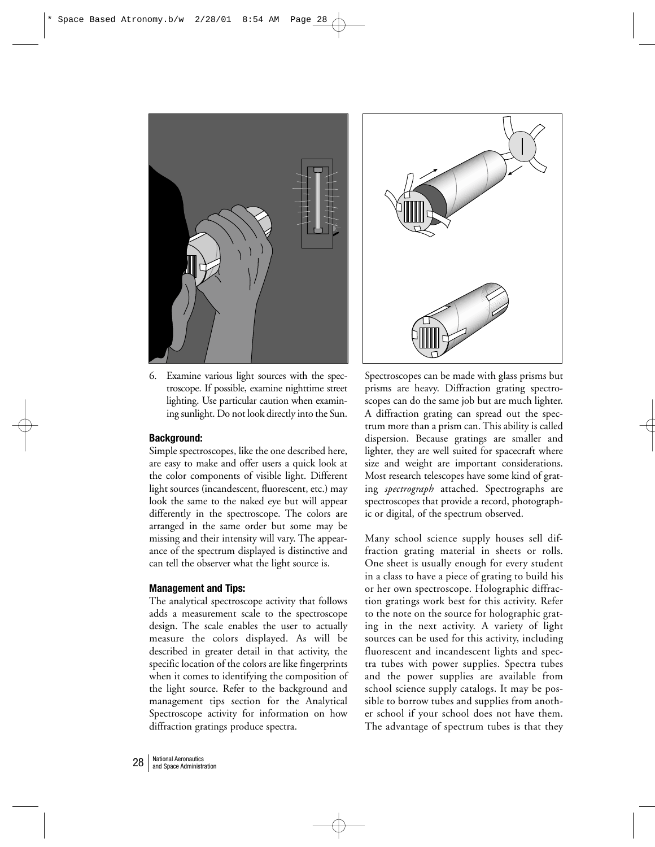

6. Examine various light sources with the spectroscope. If possible, examine nighttime street lighting. Use particular caution when examining sunlight. Do not look directly into the Sun.

## **Background:**

Simple spectroscopes, like the one described here, are easy to make and offer users a quick look at the color components of visible light. Different light sources (incandescent, fluorescent, etc.) may look the same to the naked eye but will appear differently in the spectroscope. The colors are arranged in the same order but some may be missing and their intensity will vary. The appearance of the spectrum displayed is distinctive and can tell the observer what the light source is.

### **Management and Tips:**

The analytical spectroscope activity that follows adds a measurement scale to the spectroscope design. The scale enables the user to actually measure the colors displayed. As will be described in greater detail in that activity, the specific location of the colors are like fingerprints when it comes to identifying the composition of the light source. Refer to the background and management tips section for the Analytical Spectroscope activity for information on how diffraction gratings produce spectra.



Spectroscopes can be made with glass prisms but prisms are heavy. Diffraction grating spectroscopes can do the same job but are much lighter. A diffraction grating can spread out the spectrum more than a prism can. This ability is called dispersion. Because gratings are smaller and lighter, they are well suited for spacecraft where size and weight are important considerations. Most research telescopes have some kind of grating *spectrograph* attached. Spectrographs are spectroscopes that provide a record, photographic or digital, of the spectrum observed.

Many school science supply houses sell diffraction grating material in sheets or rolls. One sheet is usually enough for every student in a class to have a piece of grating to build his or her own spectroscope. Holographic diffraction gratings work best for this activity. Refer to the note on the source for holographic grating in the next activity. A variety of light sources can be used for this activity, including fluorescent and incandescent lights and spectra tubes with power supplies. Spectra tubes and the power supplies are available from school science supply catalogs. It may be possible to borrow tubes and supplies from another school if your school does not have them. The advantage of spectrum tubes is that they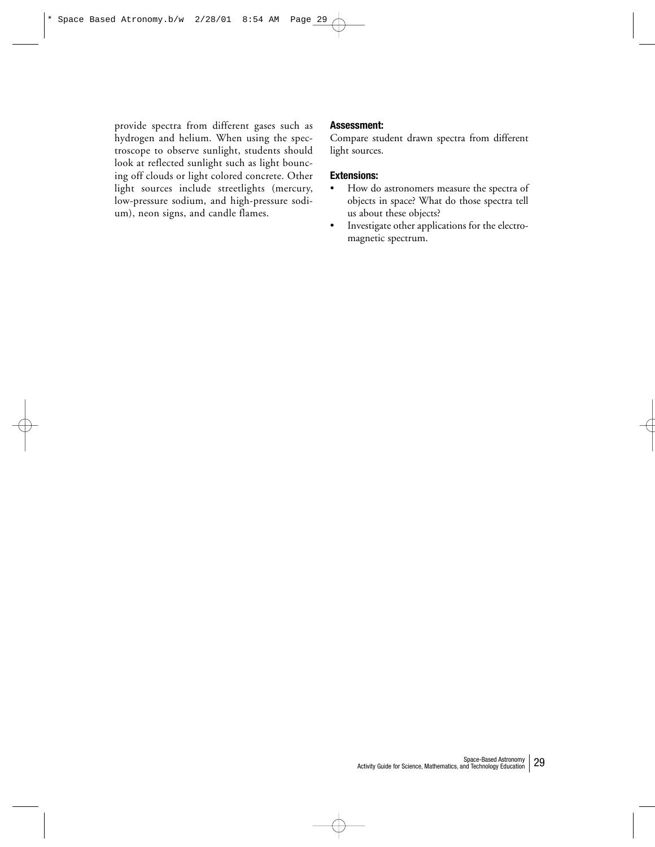provide spectra from different gases such as hydrogen and helium. When using the spectroscope to observe sunlight, students should look at reflected sunlight such as light bouncing off clouds or light colored concrete. Other light sources include streetlights (mercury, low-pressure sodium, and high-pressure sodium), neon signs, and candle flames.

#### **Assessment:**

Compare student drawn spectra from different light sources.

## **Extensions:**

- How do astronomers measure the spectra of objects in space? What do those spectra tell us about these objects?
- Investigate other applications for the electromagnetic spectrum.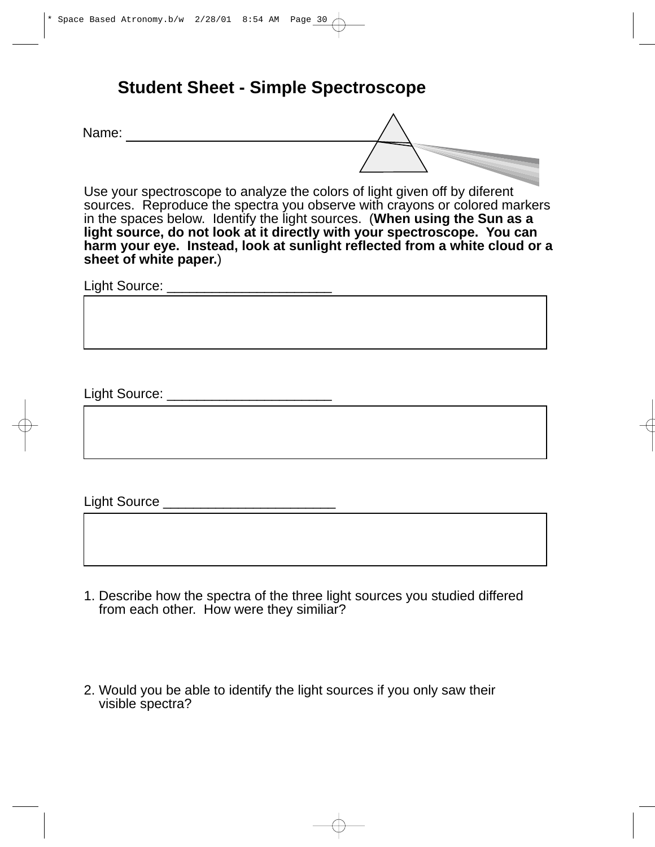## **Student Sheet - Simple Spectroscope**

Name:

Use your spectroscope to analyze the colors of light given off by diferent sources. Reproduce the spectra you observe with crayons or colored markers in the spaces below. Identify the light sources. (**When using the Sun as a light source, do not look at it directly with your spectroscope. You can harm your eye. Instead, look at sunlight reflected from a white cloud or a sheet of white paper.**)

Light Source: \_\_\_\_\_\_\_\_\_\_\_\_\_\_\_\_\_\_\_\_\_\_

Light Source: \_\_\_\_\_\_\_\_\_\_\_\_\_\_\_\_\_\_\_\_\_\_

Light Source \_\_\_\_\_\_\_\_\_\_\_\_\_\_\_\_\_\_\_\_\_\_\_

- 1. Describe how the spectra of the three light sources you studied differed from each other. How were they similiar?
- 2. Would you be able to identify the light sources if you only saw their visible spectra?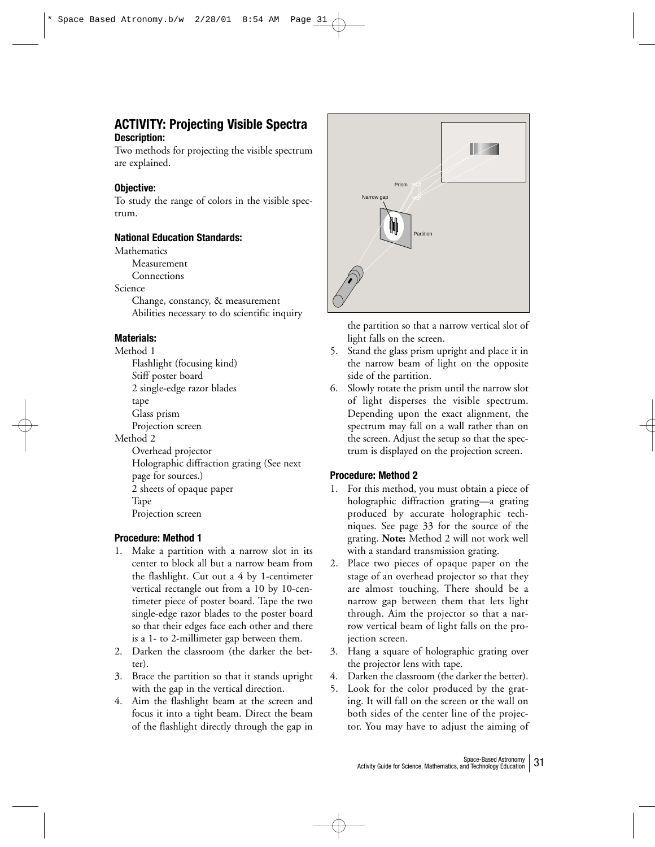## **ACTIVITY: Projecting Visible Spectra Description:**

Two methods for projecting the visible spectrum are explained.

## **Objective:**

To study the range of colors in the visible spectrum.

## **National Education Standards:**

**Mathematics** 

Measurement

Connections

Science

Change, constancy, & measurement Abilities necessary to do scientific inquiry

## **Materials:**

Method 1 Flashlight (focusing kind) Stiff poster board 2 single-edge razor blades tape Glass prism Projection screen Method 2 Overhead projector Holographic diffraction grating (See next page for sources.) 2 sheets of opaque paper Tape

Projection screen

## **Procedure: Method 1**

- 1. Make a partition with a narrow slot in its center to block all but a narrow beam from the flashlight. Cut out a 4 by 1-centimeter vertical rectangle out from a 10 by 10-centimeter piece of poster board. Tape the two single-edge razor blades to the poster board so that their edges face each other and there is a 1- to 2-millimeter gap between them.
- 2. Darken the classroom (the darker the better).
- 3. Brace the partition so that it stands upright with the gap in the vertical direction.
- 4. Aim the flashlight beam at the screen and focus it into a tight beam. Direct the beam of the flashlight directly through the gap in



the partition so that a narrow vertical slot of light falls on the screen.

- 5. Stand the glass prism upright and place it in the narrow beam of light on the opposite side of the partition.
- 6. Slowly rotate the prism until the narrow slot of light disperses the visible spectrum. Depending upon the exact alignment, the spectrum may fall on a wall rather than on the screen. Adjust the setup so that the spectrum is displayed on the projection screen.

## **Procedure: Method 2**

- 1. For this method, you must obtain a piece of holographic diffraction grating—a grating produced by accurate holographic techniques. See page 33 for the source of the grating. **Note:** Method 2 will not work well with a standard transmission grating.
- 2. Place two pieces of opaque paper on the stage of an overhead projector so that they are almost touching. There should be a narrow gap between them that lets light through. Aim the projector so that a narrow vertical beam of light falls on the projection screen.
- 3. Hang a square of holographic grating over the projector lens with tape.
- 4. Darken the classroom (the darker the better).
- 5. Look for the color produced by the grating. It will fall on the screen or the wall on both sides of the center line of the projector. You may have to adjust the aiming of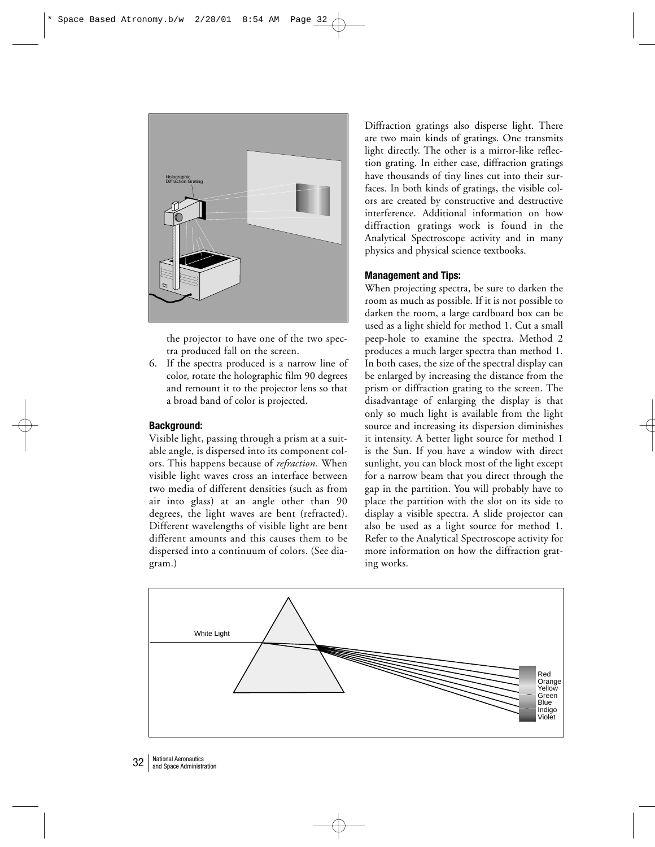

the projector to have one of the two spectra produced fall on the screen.

6. If the spectra produced is a narrow line of color, rotate the holographic film 90 degrees and remount it to the projector lens so that a broad band of color is projected.

## **Background:**

Visible light, passing through a prism at a suitable angle, is dispersed into its component colors. This happens because of *refraction.* When visible light waves cross an interface between two media of different densities (such as from air into glass) at an angle other than 90 degrees, the light waves are bent (refracted). Different wavelengths of visible light are bent different amounts and this causes them to be dispersed into a continuum of colors. (See diagram.)

Diffraction gratings also disperse light. There are two main kinds of gratings. One transmits light directly. The other is a mirror-like reflection grating. In either case, diffraction gratings have thousands of tiny lines cut into their surfaces. In both kinds of gratings, the visible colors are created by constructive and destructive interference. Additional information on how diffraction gratings work is found in the Analytical Spectroscope activity and in many physics and physical science textbooks.

## **Management and Tips:**

When projecting spectra, be sure to darken the room as much as possible. If it is not possible to darken the room, a large cardboard box can be used as a light shield for method 1. Cut a small peep-hole to examine the spectra. Method 2 produces a much larger spectra than method 1. In both cases, the size of the spectral display can be enlarged by increasing the distance from the prism or diffraction grating to the screen. The disadvantage of enlarging the display is that only so much light is available from the light source and increasing its dispersion diminishes it intensity. A better light source for method 1 is the Sun. If you have a window with direct sunlight, you can block most of the light except for a narrow beam that you direct through the gap in the partition. You will probably have to place the partition with the slot on its side to display a visible spectra. A slide projector can also be used as a light source for method 1. Refer to the Analytical Spectroscope activity for more information on how the diffraction grating works.

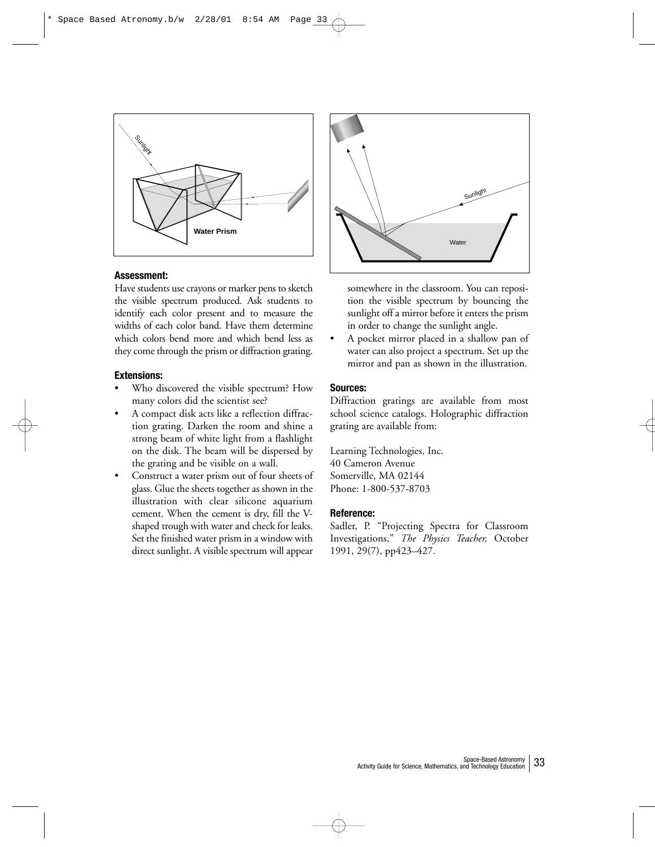

## **Assessment:**

Have students use crayons or marker pens to sketch the visible spectrum produced. Ask students to identify each color present and to measure the widths of each color band. Have them determine which colors bend more and which bend less as they come through the prism or diffraction grating.

## **Extensions:**

- Who discovered the visible spectrum? How many colors did the scientist see?
- A compact disk acts like a reflection diffraction grating. Darken the room and shine a strong beam of white light from a flashlight on the disk. The beam will be dispersed by the grating and be visible on a wall.
- Construct a water prism out of four sheets of glass. Glue the sheets together as shown in the illustration with clear silicone aquarium cement. When the cement is dry, fill the Vshaped trough with water and check for leaks. Set the finished water prism in a window with direct sunlight. A visible spectrum will appear



somewhere in the classroom. You can reposition the visible spectrum by bouncing the sunlight off a mirror before it enters the prism in order to change the sunlight angle.

• A pocket mirror placed in a shallow pan of water can also project a spectrum. Set up the mirror and pan as shown in the illustration.

#### **Sources:**

Diffraction gratings are available from most school science catalogs. Holographic diffraction grating are available from:

Learning Technologies, Inc. 40 Cameron Avenue Somerville, MA 02144 Phone: 1-800-537-8703

#### **Reference:**

Sadler, P. "Projecting Spectra for Classroom Investigations," *The Physics Teacher,* October 1991, 29(7), pp423–427.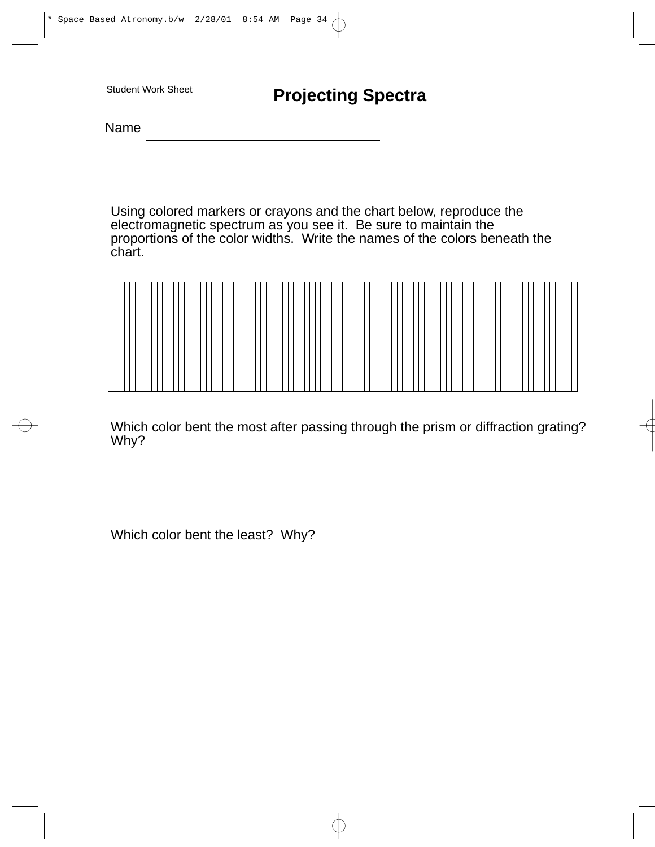Name

Using colored markers or crayons and the chart below, reproduce the electromagnetic spectrum as you see it. Be sure to maintain the proportions of the color widths. Write the names of the colors beneath the chart.



Which color bent the most after passing through the prism or diffraction grating? Why?

Which color bent the least? Why?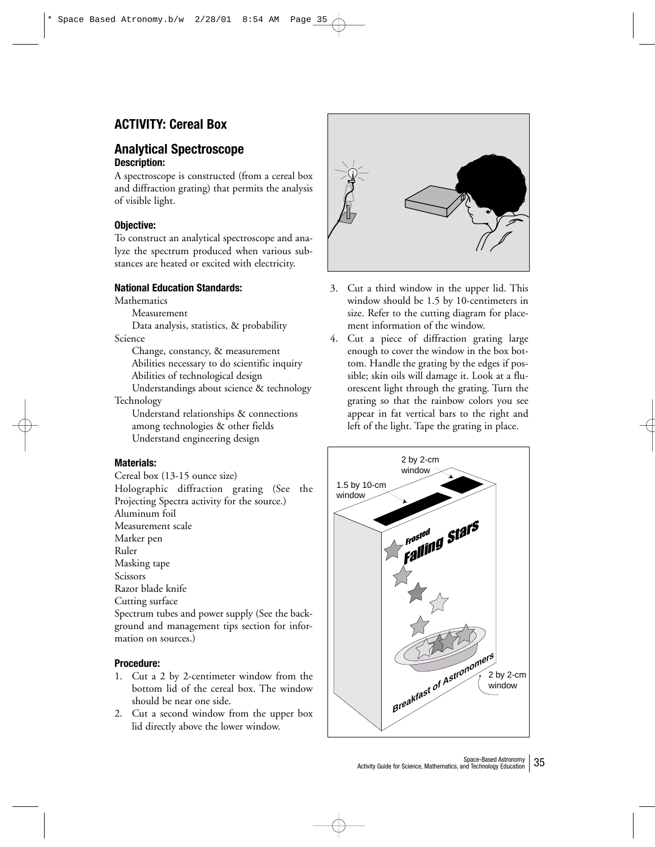## **ACTIVITY: Cereal Box**

## **Analytical Spectroscope Description:**

A spectroscope is constructed (from a cereal box and diffraction grating) that permits the analysis of visible light.

## **Objective:**

To construct an analytical spectroscope and analyze the spectrum produced when various substances are heated or excited with electricity.

## **National Education Standards:**

Mathematics

Measurement

Data analysis, statistics, & probability Science

Change, constancy, & measurement Abilities necessary to do scientific inquiry Abilities of technological design

Understandings about science & technology Technology

Understand relationships & connections among technologies & other fields Understand engineering design

## **Materials:**

Cereal box (13-15 ounce size) Holographic diffraction grating (See the Projecting Spectra activity for the source.) Aluminum foil Measurement scale Marker pen Ruler Masking tape Scissors Razor blade knife Cutting surface Spectrum tubes and power supply (See the background and management tips section for information on sources.)

## **Procedure:**

- 1. Cut a 2 by 2-centimeter window from the bottom lid of the cereal box. The window should be near one side.
- 2. Cut a second window from the upper box lid directly above the lower window.



- 3. Cut a third window in the upper lid. This window should be 1.5 by 10-centimeters in size. Refer to the cutting diagram for placement information of the window.
- 4. Cut a piece of diffraction grating large enough to cover the window in the box bottom. Handle the grating by the edges if possible; skin oils will damage it. Look at a fluorescent light through the grating. Turn the grating so that the rainbow colors you see appear in fat vertical bars to the right and left of the light. Tape the grating in place.

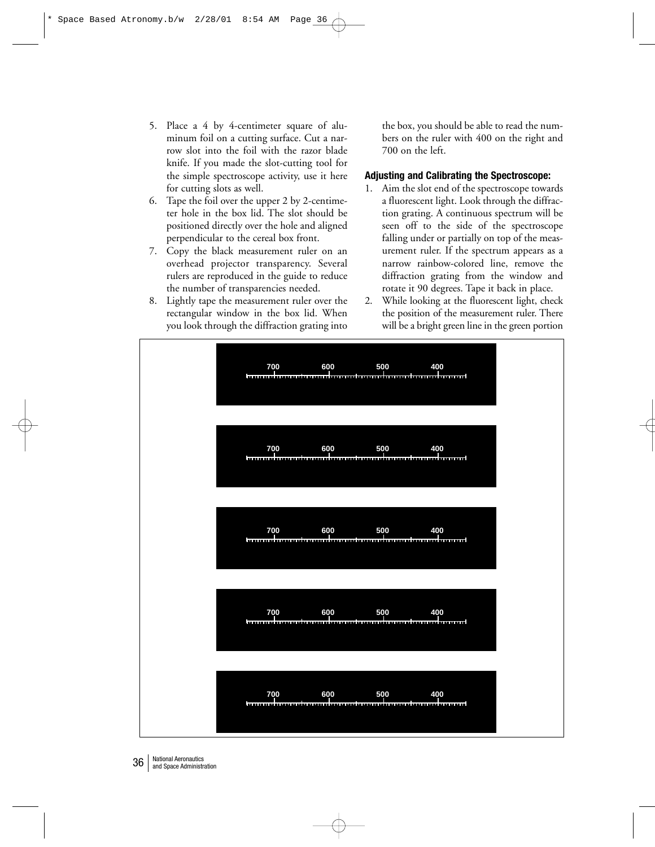- 5. Place a 4 by 4-centimeter square of aluminum foil on a cutting surface. Cut a narrow slot into the foil with the razor blade knife. If you made the slot-cutting tool for the simple spectroscope activity, use it here for cutting slots as well.
- 6. Tape the foil over the upper 2 by 2-centimeter hole in the box lid. The slot should be positioned directly over the hole and aligned perpendicular to the cereal box front.
- 7. Copy the black measurement ruler on an overhead projector transparency. Several rulers are reproduced in the guide to reduce the number of transparencies needed.
- 8. Lightly tape the measurement ruler over the rectangular window in the box lid. When you look through the diffraction grating into

the box, you should be able to read the numbers on the ruler with 400 on the right and 700 on the left.

## **Adjusting and Calibrating the Spectroscope:**

- 1. Aim the slot end of the spectroscope towards a fluorescent light. Look through the diffraction grating. A continuous spectrum will be seen off to the side of the spectroscope falling under or partially on top of the measurement ruler. If the spectrum appears as a narrow rainbow-colored line, remove the diffraction grating from the window and rotate it 90 degrees. Tape it back in place.
- 2. While looking at the fluorescent light, check the position of the measurement ruler. There will be a bright green line in the green portion



36 | National Aeronautics<br>and Space Administration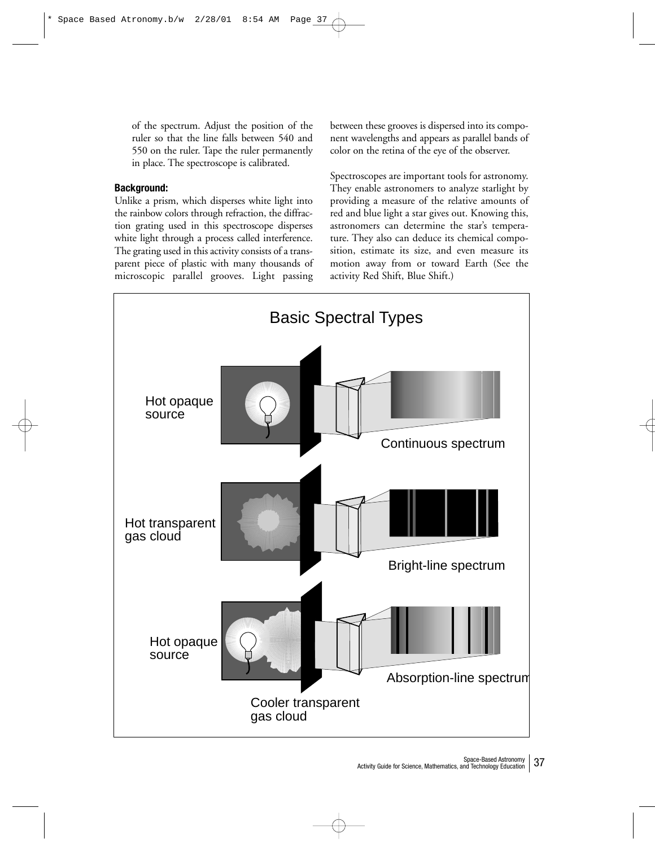of the spectrum. Adjust the position of the ruler so that the line falls between 540 and 550 on the ruler. Tape the ruler permanently in place. The spectroscope is calibrated.

## **Background:**

Unlike a prism, which disperses white light into the rainbow colors through refraction, the diffraction grating used in this spectroscope disperses white light through a process called interference. The grating used in this activity consists of a transparent piece of plastic with many thousands of microscopic parallel grooves. Light passing

between these grooves is dispersed into its component wavelengths and appears as parallel bands of color on the retina of the eye of the observer.

Spectroscopes are important tools for astronomy. They enable astronomers to analyze starlight by providing a measure of the relative amounts of red and blue light a star gives out. Knowing this, astronomers can determine the star's temperature. They also can deduce its chemical composition, estimate its size, and even measure its motion away from or toward Earth (See the activity Red Shift, Blue Shift.)

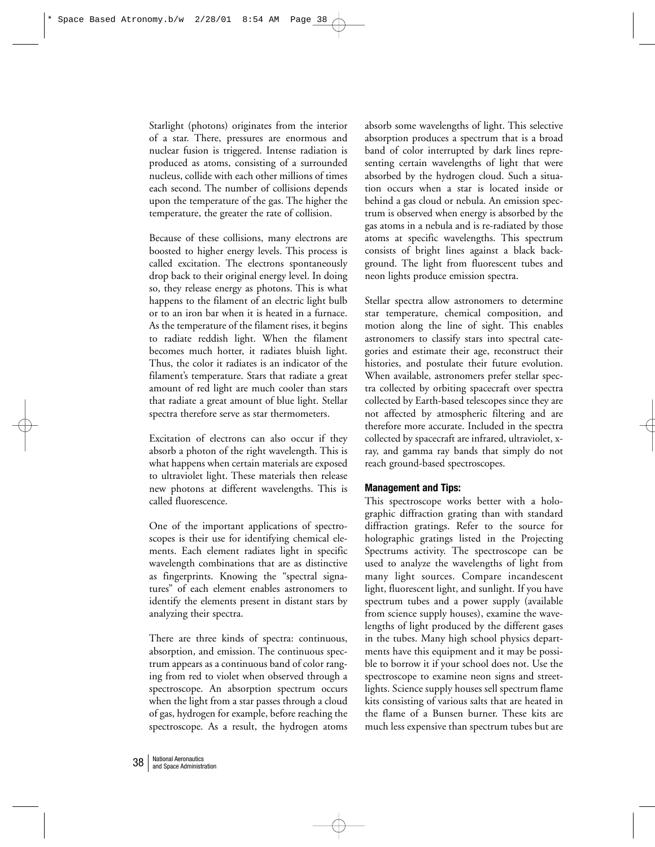Starlight (photons) originates from the interior of a star. There, pressures are enormous and nuclear fusion is triggered. Intense radiation is produced as atoms, consisting of a surrounded nucleus, collide with each other millions of times each second. The number of collisions depends upon the temperature of the gas. The higher the temperature, the greater the rate of collision.

Because of these collisions, many electrons are boosted to higher energy levels. This process is called excitation. The electrons spontaneously drop back to their original energy level. In doing so, they release energy as photons. This is what happens to the filament of an electric light bulb or to an iron bar when it is heated in a furnace. As the temperature of the filament rises, it begins to radiate reddish light. When the filament becomes much hotter, it radiates bluish light. Thus, the color it radiates is an indicator of the filament's temperature. Stars that radiate a great amount of red light are much cooler than stars that radiate a great amount of blue light. Stellar spectra therefore serve as star thermometers.

Excitation of electrons can also occur if they absorb a photon of the right wavelength. This is what happens when certain materials are exposed to ultraviolet light. These materials then release new photons at different wavelengths. This is called fluorescence.

One of the important applications of spectroscopes is their use for identifying chemical elements. Each element radiates light in specific wavelength combinations that are as distinctive as fingerprints. Knowing the "spectral signatures" of each element enables astronomers to identify the elements present in distant stars by analyzing their spectra.

There are three kinds of spectra: continuous, absorption, and emission. The continuous spectrum appears as a continuous band of color ranging from red to violet when observed through a spectroscope. An absorption spectrum occurs when the light from a star passes through a cloud of gas, hydrogen for example, before reaching the spectroscope. As a result, the hydrogen atoms absorb some wavelengths of light. This selective absorption produces a spectrum that is a broad band of color interrupted by dark lines representing certain wavelengths of light that were absorbed by the hydrogen cloud. Such a situation occurs when a star is located inside or behind a gas cloud or nebula. An emission spectrum is observed when energy is absorbed by the gas atoms in a nebula and is re-radiated by those atoms at specific wavelengths. This spectrum consists of bright lines against a black background. The light from fluorescent tubes and neon lights produce emission spectra.

Stellar spectra allow astronomers to determine star temperature, chemical composition, and motion along the line of sight. This enables astronomers to classify stars into spectral categories and estimate their age, reconstruct their histories, and postulate their future evolution. When available, astronomers prefer stellar spectra collected by orbiting spacecraft over spectra collected by Earth-based telescopes since they are not affected by atmospheric filtering and are therefore more accurate. Included in the spectra collected by spacecraft are infrared, ultraviolet, xray, and gamma ray bands that simply do not reach ground-based spectroscopes.

## **Management and Tips:**

This spectroscope works better with a holographic diffraction grating than with standard diffraction gratings. Refer to the source for holographic gratings listed in the Projecting Spectrums activity. The spectroscope can be used to analyze the wavelengths of light from many light sources. Compare incandescent light, fluorescent light, and sunlight. If you have spectrum tubes and a power supply (available from science supply houses), examine the wavelengths of light produced by the different gases in the tubes. Many high school physics departments have this equipment and it may be possible to borrow it if your school does not. Use the spectroscope to examine neon signs and streetlights. Science supply houses sell spectrum flame kits consisting of various salts that are heated in the flame of a Bunsen burner. These kits are much less expensive than spectrum tubes but are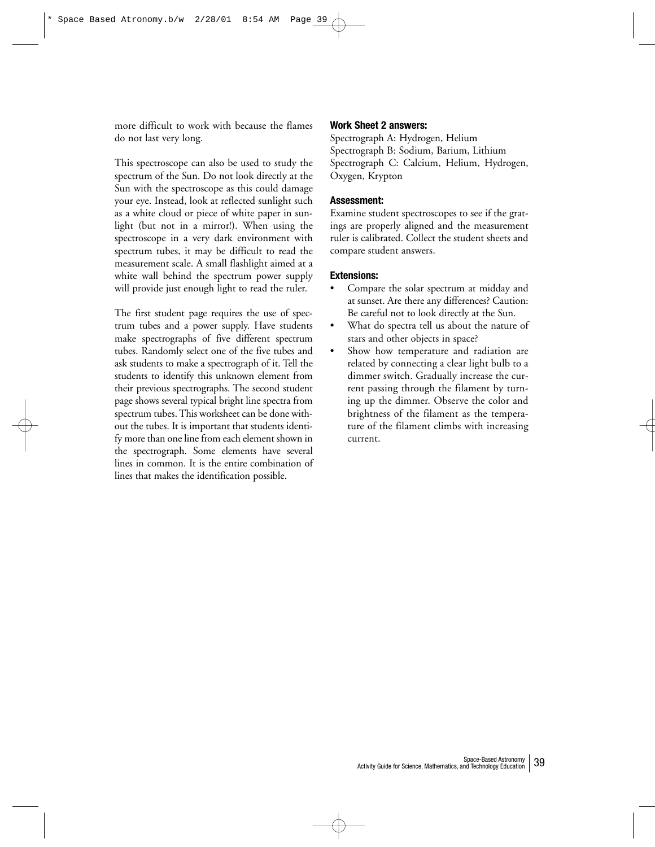more difficult to work with because the flames do not last very long.

This spectroscope can also be used to study the spectrum of the Sun. Do not look directly at the Sun with the spectroscope as this could damage your eye. Instead, look at reflected sunlight such as a white cloud or piece of white paper in sunlight (but not in a mirror!). When using the spectroscope in a very dark environment with spectrum tubes, it may be difficult to read the measurement scale. A small flashlight aimed at a white wall behind the spectrum power supply will provide just enough light to read the ruler.

The first student page requires the use of spectrum tubes and a power supply. Have students make spectrographs of five different spectrum tubes. Randomly select one of the five tubes and ask students to make a spectrograph of it. Tell the students to identify this unknown element from their previous spectrographs. The second student page shows several typical bright line spectra from spectrum tubes. This worksheet can be done without the tubes. It is important that students identify more than one line from each element shown in the spectrograph. Some elements have several lines in common. It is the entire combination of lines that makes the identification possible.

## **Work Sheet 2 answers:**

Spectrograph A: Hydrogen, Helium Spectrograph B: Sodium, Barium, Lithium Spectrograph C: Calcium, Helium, Hydrogen, Oxygen, Krypton

## **Assessment:**

Examine student spectroscopes to see if the gratings are properly aligned and the measurement ruler is calibrated. Collect the student sheets and compare student answers.

## **Extensions:**

- Compare the solar spectrum at midday and at sunset. Are there any differences? Caution: Be careful not to look directly at the Sun.
- What do spectra tell us about the nature of stars and other objects in space?
- Show how temperature and radiation are related by connecting a clear light bulb to a dimmer switch. Gradually increase the current passing through the filament by turning up the dimmer. Observe the color and brightness of the filament as the temperature of the filament climbs with increasing current.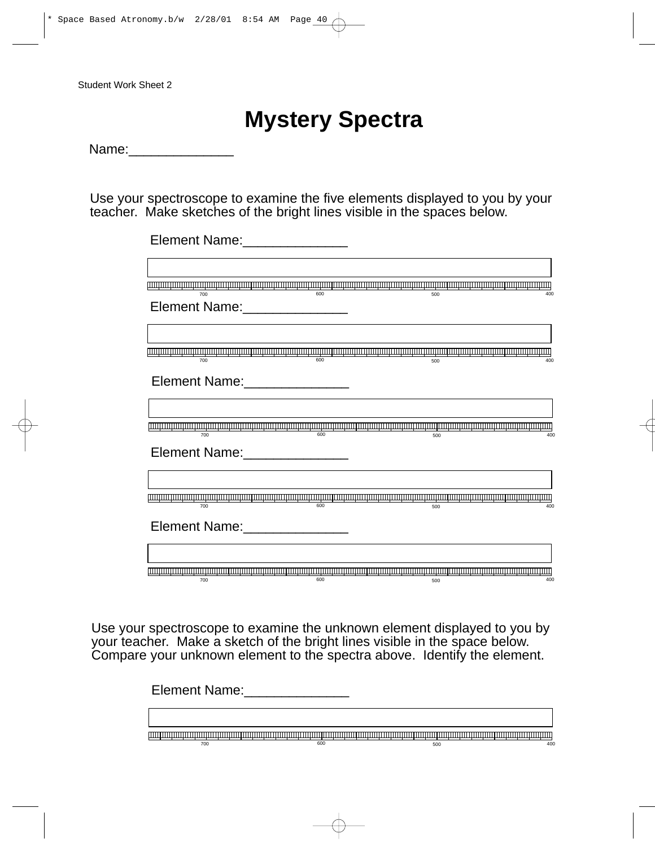## **Mystery Spectra**

Name:\_\_\_\_\_\_\_\_\_\_\_\_\_\_

Use your spectroscope to examine the five elements displayed to you by your teacher. Make sketches of the bright lines visible in the spaces below.

| Element Name:________________ |     |     |     |
|-------------------------------|-----|-----|-----|
|                               |     |     |     |
| 700                           | 600 | 500 | 400 |
| Element Name:                 |     |     |     |
|                               |     |     |     |
| 700                           | 600 | 500 | 400 |
| Element Name: _______________ |     |     |     |
|                               |     |     |     |
| 700                           | 600 | 500 | 400 |
| Element Name: Names           |     |     |     |
|                               |     |     |     |
| 700                           | 600 | 500 | 400 |
| Element Name: 1990 March 1990 |     |     |     |
|                               |     |     |     |
| 700                           | 600 | 500 | 400 |

Use your spectroscope to examine the unknown element displayed to you by your teacher. Make a sketch of the bright lines visible in the space below. Compare your unknown element to the spectra above. Identify the element.

> Element Name:\_\_\_\_\_\_\_\_\_\_\_\_\_\_\_\_\_ 700 600 500 400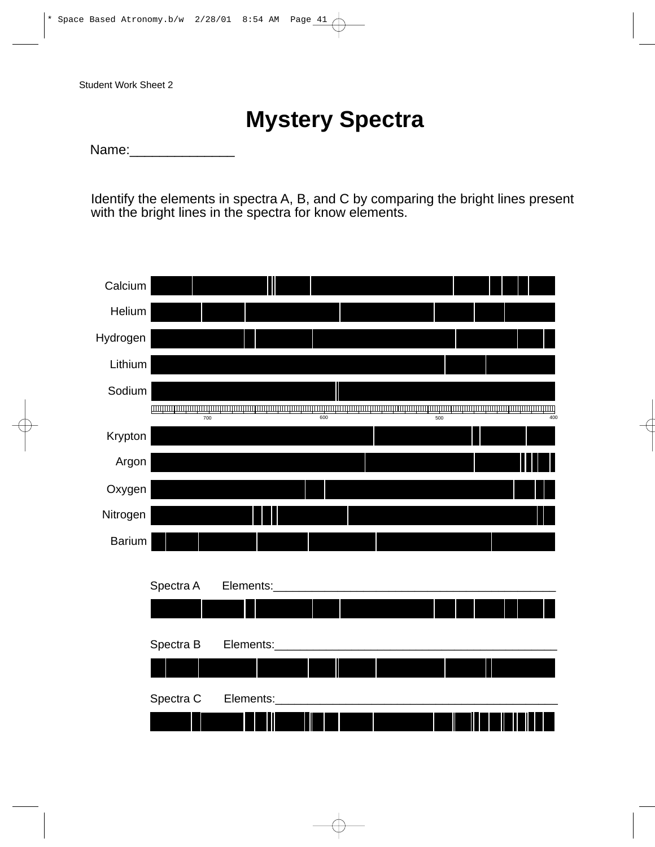## **Mystery Spectra**

Name:

Identify the elements in spectra A, B, and C by comparing the bright lines present with the bright lines in the spectra for know elements.

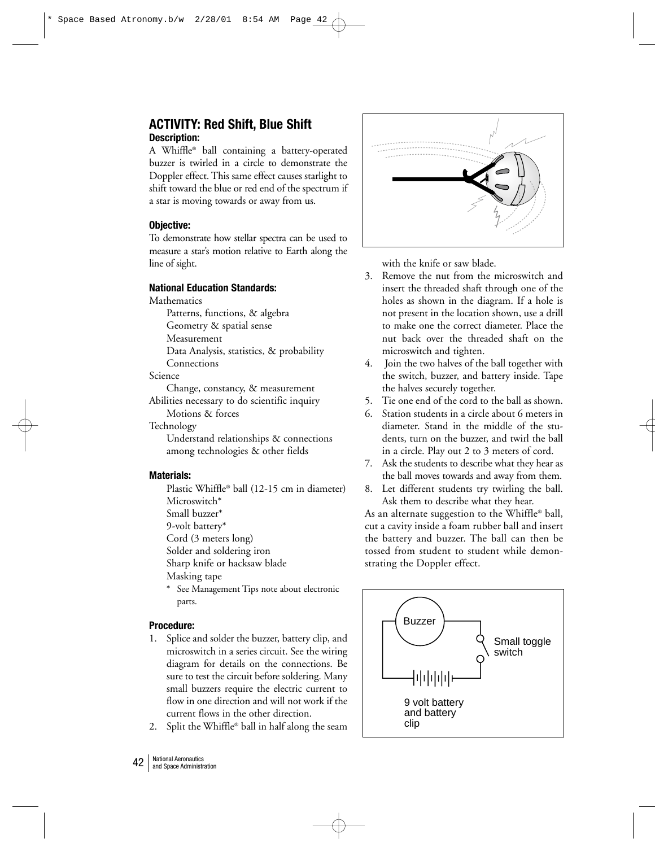## **ACTIVITY: Red Shift, Blue Shift Description:**

A Whiffle® ball containing a battery-operated buzzer is twirled in a circle to demonstrate the Doppler effect. This same effect causes starlight to shift toward the blue or red end of the spectrum if a star is moving towards or away from us.

## **Objective:**

To demonstrate how stellar spectra can be used to measure a star's motion relative to Earth along the line of sight.

## **National Education Standards:**

Mathematics

Patterns, functions, & algebra

Geometry & spatial sense

Measurement

Data Analysis, statistics, & probability

**Connections** 

Science

Change, constancy, & measurement Abilities necessary to do scientific inquiry Motions & forces

Technology

Understand relationships & connections among technologies & other fields

## **Materials:**

Plastic Whiffle® ball (12-15 cm in diameter) Microswitch\*

Small buzzer\*

9-volt battery\*

Cord (3 meters long)

Solder and soldering iron

Sharp knife or hacksaw blade

Masking tape

\* See Management Tips note about electronic parts.

## **Procedure:**

- 1. Splice and solder the buzzer, battery clip, and microswitch in a series circuit. See the wiring diagram for details on the connections. Be sure to test the circuit before soldering. Many small buzzers require the electric current to flow in one direction and will not work if the current flows in the other direction.
- 2. Split the Whiffle® ball in half along the seam



with the knife or saw blade.

- 3. Remove the nut from the microswitch and insert the threaded shaft through one of the holes as shown in the diagram. If a hole is not present in the location shown, use a drill to make one the correct diameter. Place the nut back over the threaded shaft on the microswitch and tighten.
- 4. Join the two halves of the ball together with the switch, buzzer, and battery inside. Tape the halves securely together.
- 5. Tie one end of the cord to the ball as shown.
- 6. Station students in a circle about 6 meters in diameter. Stand in the middle of the students, turn on the buzzer, and twirl the ball in a circle. Play out 2 to 3 meters of cord.
- 7. Ask the students to describe what they hear as the ball moves towards and away from them.
- 8. Let different students try twirling the ball. Ask them to describe what they hear.

As an alternate suggestion to the Whiffle® ball, cut a cavity inside a foam rubber ball and insert the battery and buzzer. The ball can then be tossed from student to student while demonstrating the Doppler effect.

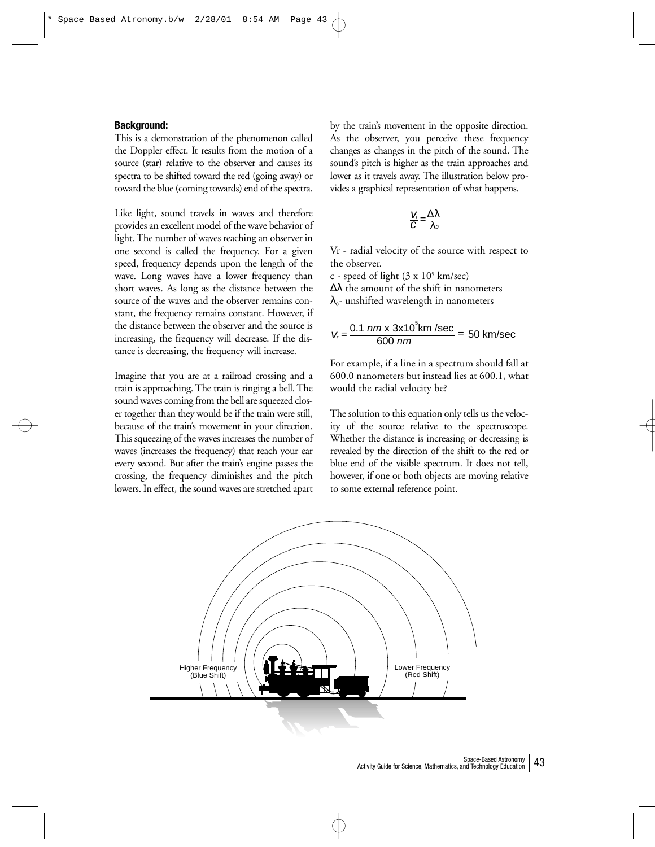#### **Background:**

This is a demonstration of the phenomenon called the Doppler effect. It results from the motion of a source (star) relative to the observer and causes its spectra to be shifted toward the red (going away) or toward the blue (coming towards) end of the spectra.

Like light, sound travels in waves and therefore provides an excellent model of the wave behavior of light. The number of waves reaching an observer in one second is called the frequency. For a given speed, frequency depends upon the length of the wave. Long waves have a lower frequency than short waves. As long as the distance between the source of the waves and the observer remains constant, the frequency remains constant. However, if the distance between the observer and the source is increasing, the frequency will decrease. If the distance is decreasing, the frequency will increase.

Imagine that you are at a railroad crossing and a train is approaching. The train is ringing a bell. The sound waves coming from the bell are squeezed closer together than they would be if the train were still, because of the train's movement in your direction. This squeezing of the waves increases the number of waves (increases the frequency) that reach your ear every second. But after the train's engine passes the crossing, the frequency diminishes and the pitch lowers. In effect, the sound waves are stretched apart by the train's movement in the opposite direction. As the observer, you perceive these frequency changes as changes in the pitch of the sound. The sound's pitch is higher as the train approaches and lower as it travels away. The illustration below provides a graphical representation of what happens.

$$
\frac{V_r}{C} = \frac{\Delta \lambda}{\lambda_o}
$$

Vr - radial velocity of the source with respect to the observer.

c - speed of light  $(3 \times 10^5 \text{ km/sec})$ ∆λ the amount of the shift in nanometers  $\lambda_0$ - unshifted wavelength in nanometers

$$
V_r = \frac{0.1 \, \text{nm} \times 3 \times 10^5 \text{km/sec}}{600 \, \text{nm}} = 50 \, \text{km/sec}
$$

For example, if a line in a spectrum should fall at 600.0 nanometers but instead lies at 600.1, what would the radial velocity be?

The solution to this equation only tells us the velocity of the source relative to the spectroscope. Whether the distance is increasing or decreasing is revealed by the direction of the shift to the red or blue end of the visible spectrum. It does not tell, however, if one or both objects are moving relative to some external reference point.

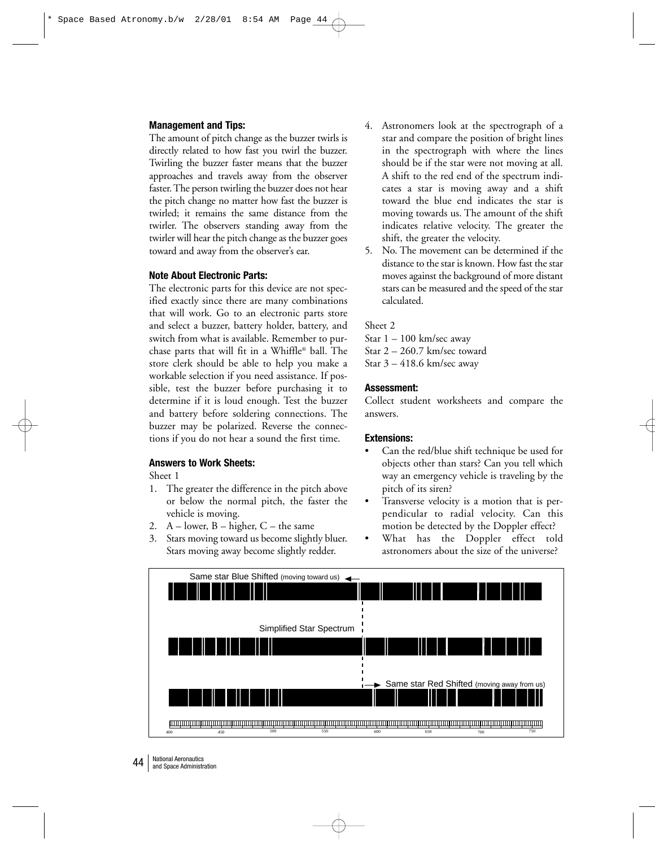#### **Management and Tips:**

The amount of pitch change as the buzzer twirls is directly related to how fast you twirl the buzzer. Twirling the buzzer faster means that the buzzer approaches and travels away from the observer faster. The person twirling the buzzer does not hear the pitch change no matter how fast the buzzer is twirled; it remains the same distance from the twirler. The observers standing away from the twirler will hear the pitch change as the buzzer goes toward and away from the observer's ear.

## **Note About Electronic Parts:**

The electronic parts for this device are not specified exactly since there are many combinations that will work. Go to an electronic parts store and select a buzzer, battery holder, battery, and switch from what is available. Remember to purchase parts that will fit in a Whiffle® ball. The store clerk should be able to help you make a workable selection if you need assistance. If possible, test the buzzer before purchasing it to determine if it is loud enough. Test the buzzer and battery before soldering connections. The buzzer may be polarized. Reverse the connections if you do not hear a sound the first time.

## **Answers to Work Sheets:**

Sheet 1

- 1. The greater the difference in the pitch above or below the normal pitch, the faster the vehicle is moving.
- 2.  $A lower$ ,  $B higher$ ,  $C the same$
- 3. Stars moving toward us become slightly bluer. Stars moving away become slightly redder.
- 4. Astronomers look at the spectrograph of a star and compare the position of bright lines in the spectrograph with where the lines should be if the star were not moving at all. A shift to the red end of the spectrum indicates a star is moving away and a shift toward the blue end indicates the star is moving towards us. The amount of the shift indicates relative velocity. The greater the shift, the greater the velocity.
- 5. No. The movement can be determined if the distance to the star is known. How fast the star moves against the background of more distant stars can be measured and the speed of the star calculated.

#### Sheet 2

Star  $1 - 100$  km/sec away Star 2 – 260.7 km/sec toward Star 3 – 418.6 km/sec away

#### **Assessment:**

Collect student worksheets and compare the answers.

#### **Extensions:**

- Can the red/blue shift technique be used for objects other than stars? Can you tell which way an emergency vehicle is traveling by the pitch of its siren?
- Transverse velocity is a motion that is perpendicular to radial velocity. Can this motion be detected by the Doppler effect?
- What has the Doppler effect told astronomers about the size of the universe?

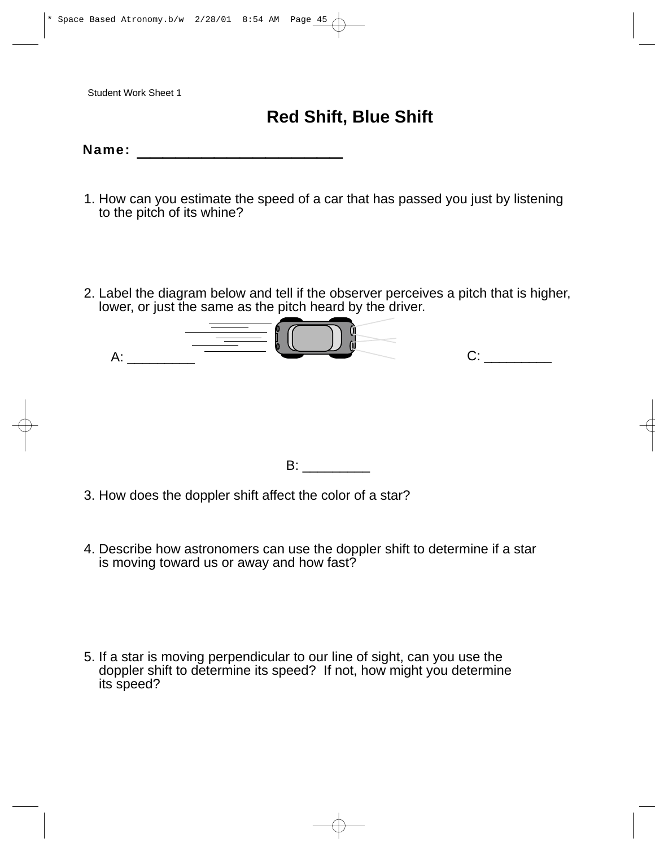## **Red Shift, Blue Shift**

## Name:  $\blacksquare$

- 1. How can you estimate the speed of a car that has passed you just by listening to the pitch of its whine?
- 2. Label the diagram below and tell if the observer perceives a pitch that is higher, lower, or just the same as the pitch heard by the driver.

| А: |  | ш | ∩∙ |  |
|----|--|---|----|--|
|    |  |   |    |  |
|    |  |   |    |  |
|    |  |   |    |  |

B: \_\_\_\_\_\_\_\_\_

- 3. How does the doppler shift affect the color of a star?
- 4. Describe how astronomers can use the doppler shift to determine if a star is moving toward us or away and how fast?

5. If a star is moving perpendicular to our line of sight, can you use the doppler shift to determine its speed? If not, how might you determine its speed?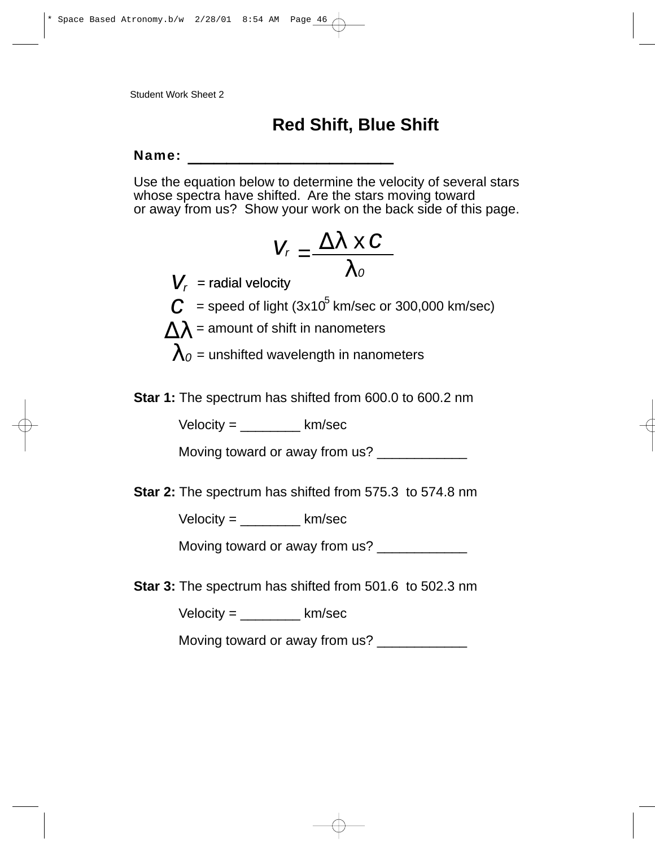## **Red Shift, Blue Shift**

## $Name:$

Use the equation below to determine the velocity of several stars whose spectra have shifted. Are the stars moving toward or away from us? Show your work on the back side of this page.

$$
V_r = \frac{\Delta \lambda \times C}{\lambda_o}
$$

- $V_r$  = radial velocity
- $C =$  speed of light (3x10<sup>5</sup> km/sec or 300,000 km/sec)
- $\Lambda\lambda$  = amount of shift in nanometers
	- $\lambda_0$  = unshifted wavelength in nanometers

**Star 1:** The spectrum has shifted from 600.0 to 600.2 nm

 $Velocity =$  km/sec

Moving toward or away from us?

**Star 2:** The spectrum has shifted from 575.3 to 574.8 nm

 $Velocity =$  km/sec

Moving toward or away from us?

**Star 3:** The spectrum has shifted from 501.6 to 502.3 nm

 $Velocity =$  km/sec

Moving toward or away from us? \_\_\_\_\_\_\_\_\_\_\_\_\_\_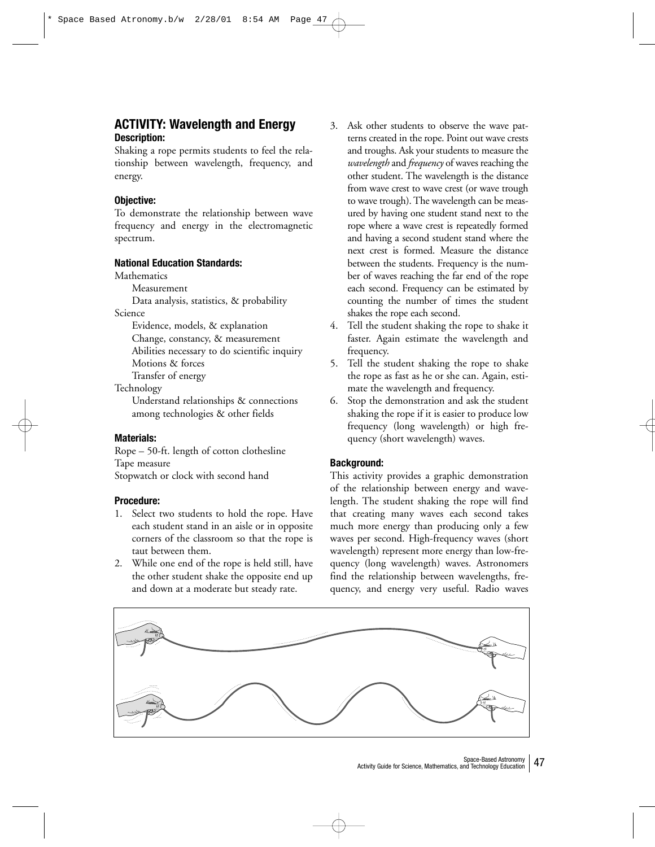## **ACTIVITY: Wavelength and Energy Description:**

Shaking a rope permits students to feel the relationship between wavelength, frequency, and energy.

## **Objective:**

To demonstrate the relationship between wave frequency and energy in the electromagnetic spectrum.

## **National Education Standards:**

**Mathematics** 

Measurement

Data analysis, statistics, & probability Science

Evidence, models, & explanation

Change, constancy, & measurement

Abilities necessary to do scientific inquiry

Motions & forces

Transfer of energy

Technology

Understand relationships & connections among technologies & other fields

## **Materials:**

Rope – 50-ft. length of cotton clothesline Tape measure Stopwatch or clock with second hand

## **Procedure:**

- 1. Select two students to hold the rope. Have each student stand in an aisle or in opposite corners of the classroom so that the rope is taut between them.
- 2. While one end of the rope is held still, have the other student shake the opposite end up and down at a moderate but steady rate.
- 3. Ask other students to observe the wave patterns created in the rope. Point out wave crests and troughs. Ask your students to measure the *wavelength* and *frequency* of waves reaching the other student. The wavelength is the distance from wave crest to wave crest (or wave trough to wave trough). The wavelength can be measured by having one student stand next to the rope where a wave crest is repeatedly formed and having a second student stand where the next crest is formed. Measure the distance between the students. Frequency is the number of waves reaching the far end of the rope each second. Frequency can be estimated by counting the number of times the student shakes the rope each second.
- 4. Tell the student shaking the rope to shake it faster. Again estimate the wavelength and frequency.
- 5. Tell the student shaking the rope to shake the rope as fast as he or she can. Again, estimate the wavelength and frequency.
- 6. Stop the demonstration and ask the student shaking the rope if it is easier to produce low frequency (long wavelength) or high frequency (short wavelength) waves.

## **Background:**

This activity provides a graphic demonstration of the relationship between energy and wavelength. The student shaking the rope will find that creating many waves each second takes much more energy than producing only a few waves per second. High-frequency waves (short wavelength) represent more energy than low-frequency (long wavelength) waves. Astronomers find the relationship between wavelengths, frequency, and energy very useful. Radio waves

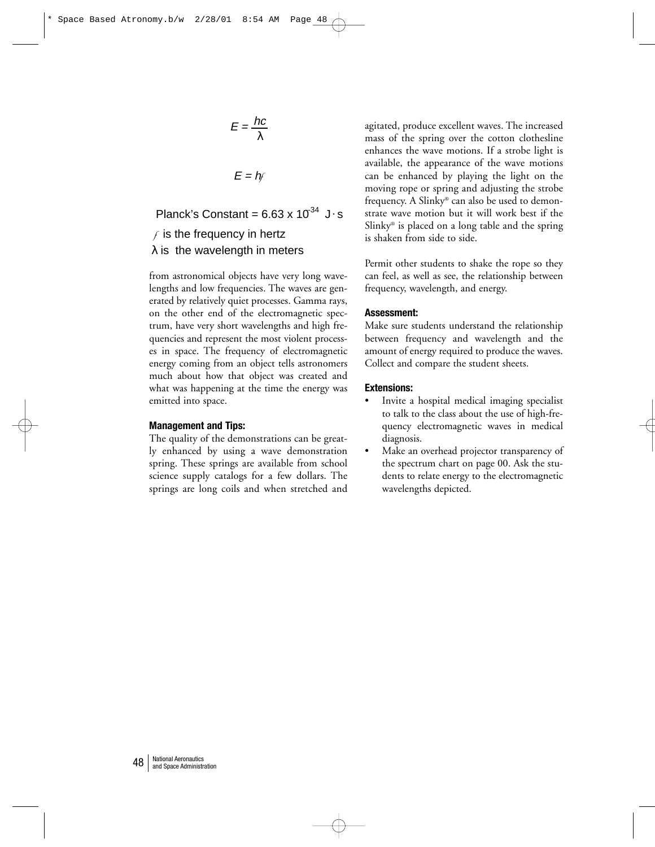$$
E = \frac{hc}{\lambda}
$$

 $E = hf$ 

 $\lambda$  is the wavelength in meters *f* is the frequency in hertz Planck's Constant =  $6.63 \times 10^{34}$  J · s.

from astronomical objects have very long wavelengths and low frequencies. The waves are generated by relatively quiet processes. Gamma rays, on the other end of the electromagnetic spectrum, have very short wavelengths and high frequencies and represent the most violent processes in space. The frequency of electromagnetic energy coming from an object tells astronomers much about how that object was created and what was happening at the time the energy was emitted into space.

### **Management and Tips:**

The quality of the demonstrations can be greatly enhanced by using a wave demonstration spring. These springs are available from school science supply catalogs for a few dollars. The springs are long coils and when stretched and agitated, produce excellent waves. The increased mass of the spring over the cotton clothesline enhances the wave motions. If a strobe light is available, the appearance of the wave motions can be enhanced by playing the light on the moving rope or spring and adjusting the strobe frequency. A Slinky® can also be used to demonstrate wave motion but it will work best if the Slinky® is placed on a long table and the spring is shaken from side to side.

Permit other students to shake the rope so they can feel, as well as see, the relationship between frequency, wavelength, and energy.

#### **Assessment:**

Make sure students understand the relationship between frequency and wavelength and the amount of energy required to produce the waves. Collect and compare the student sheets.

#### **Extensions:**

- Invite a hospital medical imaging specialist to talk to the class about the use of high-frequency electromagnetic waves in medical diagnosis.
- Make an overhead projector transparency of the spectrum chart on page 00. Ask the students to relate energy to the electromagnetic wavelengths depicted.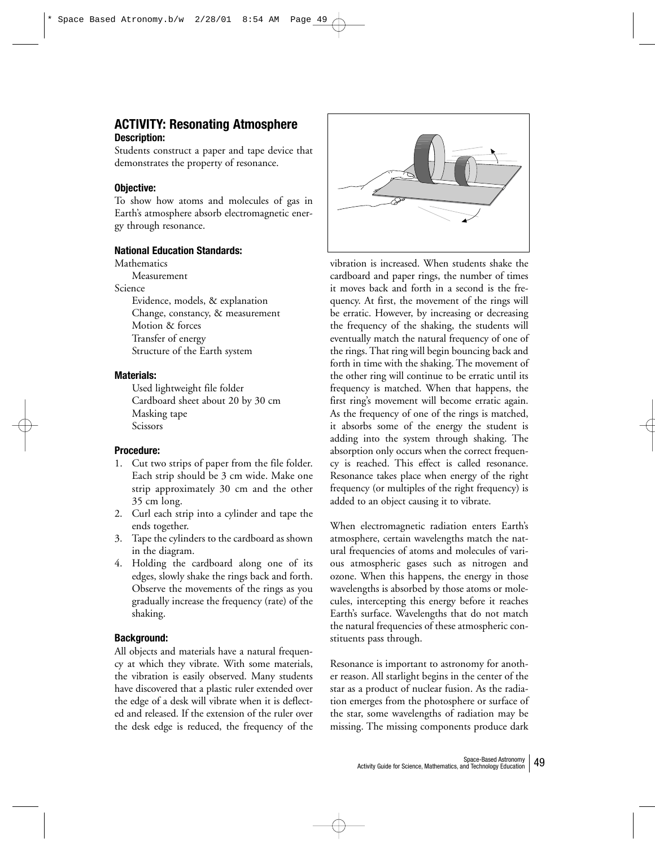## **ACTIVITY: Resonating Atmosphere Description:**

Students construct a paper and tape device that demonstrates the property of resonance.

## **Objective:**

To show how atoms and molecules of gas in Earth's atmosphere absorb electromagnetic energy through resonance.

## **National Education Standards:**

**Mathematics** 

Measurement

Science

Evidence, models, & explanation Change, constancy, & measurement Motion & forces Transfer of energy Structure of the Earth system

## **Materials:**

Used lightweight file folder Cardboard sheet about 20 by 30 cm Masking tape Scissors

## **Procedure:**

- 1. Cut two strips of paper from the file folder. Each strip should be 3 cm wide. Make one strip approximately 30 cm and the other 35 cm long.
- 2. Curl each strip into a cylinder and tape the ends together.
- 3. Tape the cylinders to the cardboard as shown in the diagram.
- 4. Holding the cardboard along one of its edges, slowly shake the rings back and forth. Observe the movements of the rings as you gradually increase the frequency (rate) of the shaking.

## **Background:**

All objects and materials have a natural frequency at which they vibrate. With some materials, the vibration is easily observed. Many students have discovered that a plastic ruler extended over the edge of a desk will vibrate when it is deflected and released. If the extension of the ruler over the desk edge is reduced, the frequency of the



vibration is increased. When students shake the cardboard and paper rings, the number of times it moves back and forth in a second is the frequency. At first, the movement of the rings will be erratic. However, by increasing or decreasing the frequency of the shaking, the students will eventually match the natural frequency of one of the rings. That ring will begin bouncing back and forth in time with the shaking. The movement of the other ring will continue to be erratic until its frequency is matched. When that happens, the first ring's movement will become erratic again. As the frequency of one of the rings is matched, it absorbs some of the energy the student is adding into the system through shaking. The absorption only occurs when the correct frequency is reached. This effect is called resonance. Resonance takes place when energy of the right frequency (or multiples of the right frequency) is added to an object causing it to vibrate.

When electromagnetic radiation enters Earth's atmosphere, certain wavelengths match the natural frequencies of atoms and molecules of various atmospheric gases such as nitrogen and ozone. When this happens, the energy in those wavelengths is absorbed by those atoms or molecules, intercepting this energy before it reaches Earth's surface. Wavelengths that do not match the natural frequencies of these atmospheric constituents pass through.

Resonance is important to astronomy for another reason. All starlight begins in the center of the star as a product of nuclear fusion. As the radiation emerges from the photosphere or surface of the star, some wavelengths of radiation may be missing. The missing components produce dark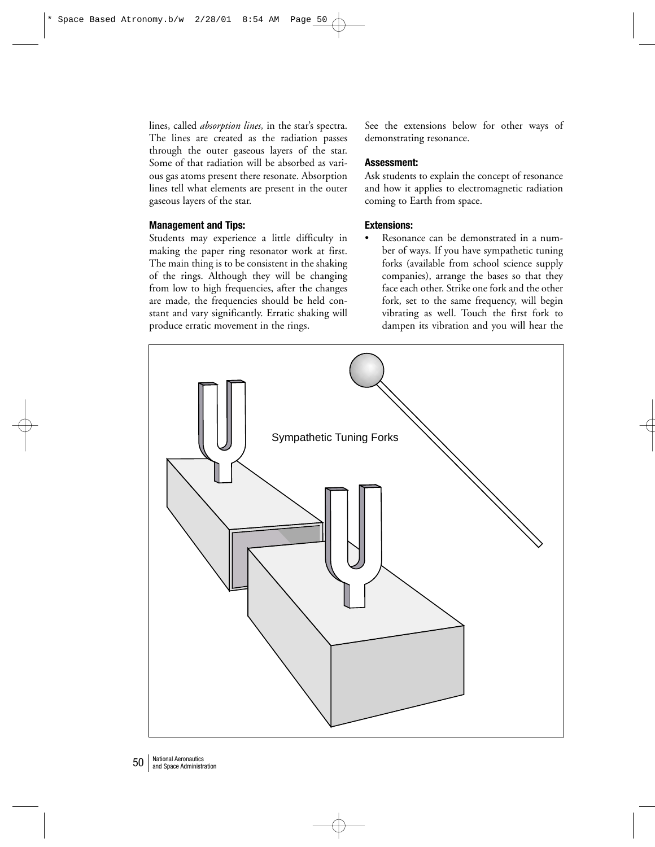lines, called *absorption lines,* in the star's spectra. The lines are created as the radiation passes through the outer gaseous layers of the star. Some of that radiation will be absorbed as various gas atoms present there resonate. Absorption lines tell what elements are present in the outer gaseous layers of the star.

## **Management and Tips:**

Students may experience a little difficulty in making the paper ring resonator work at first. The main thing is to be consistent in the shaking of the rings. Although they will be changing from low to high frequencies, after the changes are made, the frequencies should be held constant and vary significantly. Erratic shaking will produce erratic movement in the rings.

See the extensions below for other ways of demonstrating resonance.

## **Assessment:**

Ask students to explain the concept of resonance and how it applies to electromagnetic radiation coming to Earth from space.

## **Extensions:**

Resonance can be demonstrated in a number of ways. If you have sympathetic tuning forks (available from school science supply companies), arrange the bases so that they face each other. Strike one fork and the other fork, set to the same frequency, will begin vibrating as well. Touch the first fork to dampen its vibration and you will hear the

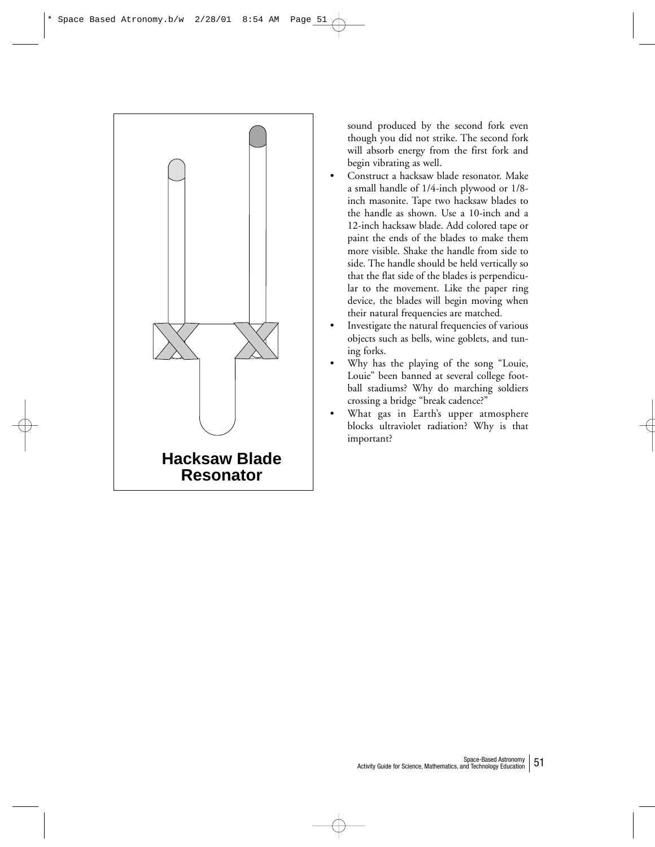

sound produced by the second fork even though you did not strike. The second fork will absorb energy from the first fork and begin vibrating as well.

- Construct a hacksaw blade resonator. Make a small handle of 1/4-inch plywood or 1/8 inch masonite. Tape two hacksaw blades to the handle as shown. Use a 10-inch and a 12-inch hacksaw blade. Add colored tape or paint the ends of the blades to make them more visible. Shake the handle from side to side. The handle should be held vertically so that the flat side of the blades is perpendicular to the movement. Like the paper ring device, the blades will begin moving when their natural frequencies are matched.
- Investigate the natural frequencies of various objects such as bells, wine goblets, and tuning forks.
- Why has the playing of the song "Louie, Louie" been banned at several college football stadiums? Why do marching soldiers crossing a bridge "break cadence?"
- What gas in Earth's upper atmosphere blocks ultraviolet radiation? Why is that important?